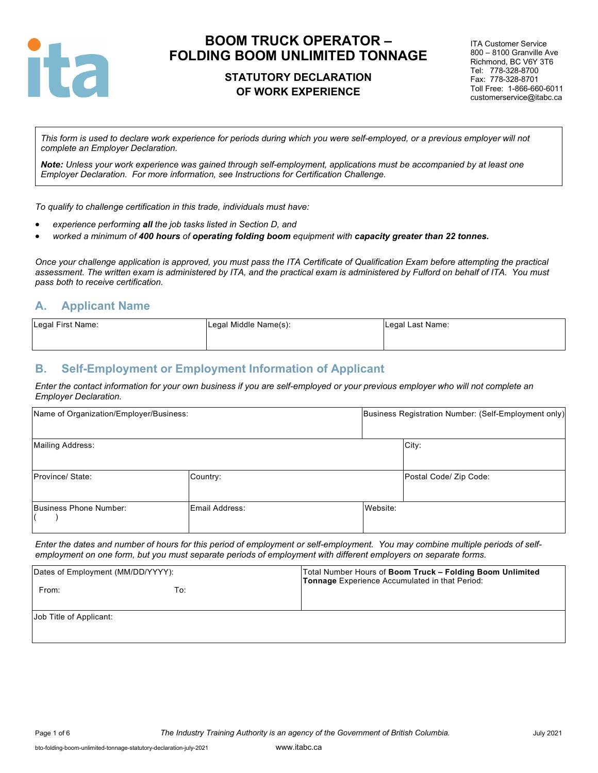

## **STATUTORY DECLARATION OF WORK EXPERIENCE**

ITA Customer Service 800 – 8100 Granville Ave Richmond, BC V6Y 3T6 Tel: 778-328-8700 Fax: 778-328-8701 Toll Free: 1-866-660-6011 customerservice@itabc.ca

*This form is used to declare work experience for periods during which you were self-employed, or a previous employer will not complete an Employer Declaration.* 

*Note: Unless your work experience was gained through self-employment, applications must be accompanied by at least one Employer Declaration. For more information, see Instructions for Certification Challenge.*

*To qualify to challenge certification in this trade, individuals must have:*

- *experience performing all the job tasks listed in Section D, and*
- *worked a minimum of 400 hours of operating folding boom equipment with capacity greater than 22 tonnes.*

*Once your challenge application is approved, you must pass the ITA Certificate of Qualification Exam before attempting the practical assessment. The written exam is administered by ITA, and the practical exam is administered by Fulford on behalf of ITA. You must pass both to receive certification.*

## **A. Applicant Name**

| Legal First Name: | Legal Middle Name(s): | Legal Last Name: |
|-------------------|-----------------------|------------------|
|                   |                       |                  |

### **B. Self-Employment or Employment Information of Applicant**

*Enter the contact information for your own business if you are self-employed or your previous employer who will not complete an Employer Declaration.*

| Name of Organization/Employer/Business: |                |          | Business Registration Number: (Self-Employment only) |  |  |
|-----------------------------------------|----------------|----------|------------------------------------------------------|--|--|
| Mailing Address:                        |                |          | City:                                                |  |  |
| Province/ State:                        | Country:       |          | Postal Code/ Zip Code:                               |  |  |
| Business Phone Number:                  | Email Address: | Website: |                                                      |  |  |

*Enter the dates and number of hours for this period of employment or self-employment. You may combine multiple periods of selfemployment on one form, but you must separate periods of employment with different employers on separate forms.*

| Dates of Employment (MM/DD/YYYY): |     | Total Number Hours of Boom Truck - Folding Boom Unlimited<br>Tonnage Experience Accumulated in that Period: |  |  |  |
|-----------------------------------|-----|-------------------------------------------------------------------------------------------------------------|--|--|--|
| From:                             | To: |                                                                                                             |  |  |  |
| Job Title of Applicant:           |     |                                                                                                             |  |  |  |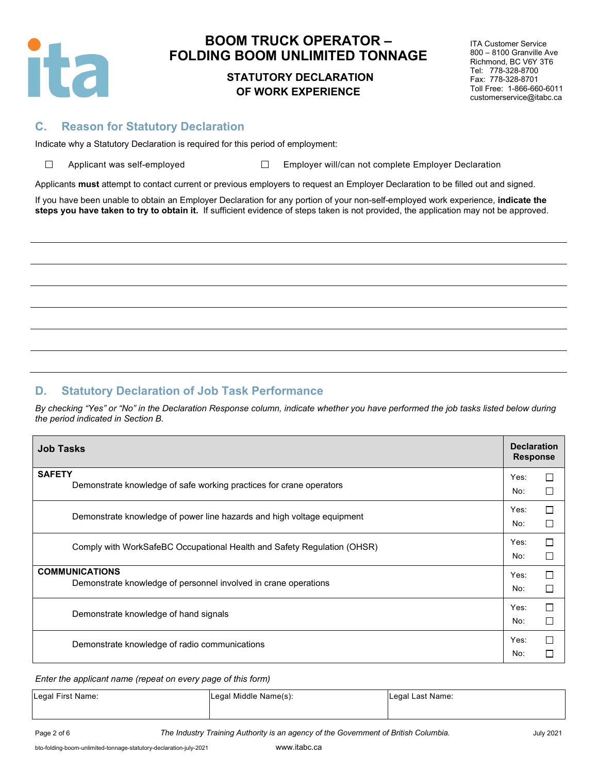

 $\Box$ 

# **BOOM TRUCK OPERATOR – FOLDING BOOM UNLIMITED TONNAGE**

### **STATUTORY DECLARATION OF WORK EXPERIENCE**

ITA Customer Service 800 – 8100 Granville Ave Richmond, BC V6Y 3T6 Tel: 778-328-8700 Fax: 778-328-8701 Toll Free: 1-866-660-6011 customerservice@itabc.ca

### **C. Reason for Statutory Declaration**

Indicate why a Statutory Declaration is required for this period of employment:

Applicant was self-employed  $\square$  Employer will/can not complete Employer Declaration

Applicants **must** attempt to contact current or previous employers to request an Employer Declaration to be filled out and signed.

If you have been unable to obtain an Employer Declaration for any portion of your non-self-employed work experience, **indicate the steps you have taken to try to obtain it.** If sufficient evidence of steps taken is not provided, the application may not be approved.

# **D. Statutory Declaration of Job Task Performance**

*By checking "Yes" or "No" in the Declaration Response column, indicate whether you have performed the job tasks listed below during the period indicated in Section B.*

| <b>Job Tasks</b>                                                                         | <b>Declaration</b><br><b>Response</b> |        |  |
|------------------------------------------------------------------------------------------|---------------------------------------|--------|--|
| <b>SAFETY</b><br>Demonstrate knowledge of safe working practices for crane operators     | Yes:<br>No:                           | □<br>П |  |
| Demonstrate knowledge of power line hazards and high voltage equipment                   | Yes:<br>No:                           | □<br>П |  |
| Comply with WorkSafeBC Occupational Health and Safety Regulation (OHSR)                  | Yes:<br>No:                           | П<br>□ |  |
| <b>COMMUNICATIONS</b><br>Demonstrate knowledge of personnel involved in crane operations | Yes:<br>No:                           | П<br>П |  |
| Demonstrate knowledge of hand signals                                                    |                                       |        |  |
| Demonstrate knowledge of radio communications                                            |                                       |        |  |

#### *Enter the applicant name (repeat on every page of this form)*

| Legal First Name: | Legal Middle Name(s): | Legal Last Name: |  |
|-------------------|-----------------------|------------------|--|
|                   |                       |                  |  |

Page 2 of 6 *The Industry Training Authority is an agency of the Government of British Columbia.* July 2021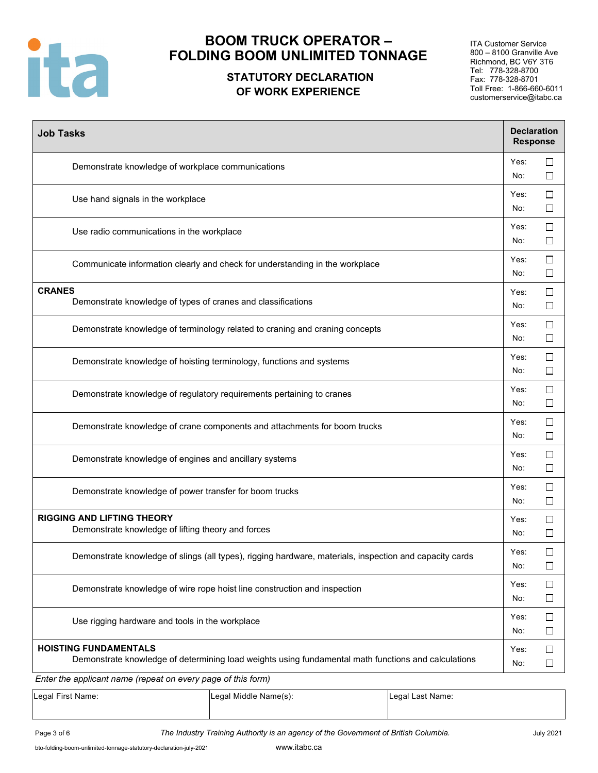

# **STATUTORY DECLARATION OF WORK EXPERIENCE**

ITA Customer Service 800 – 8100 Granville Ave Richmond, BC V6Y 3T6 Tel: 778-328-8700 Fax: 778-328-8701 Toll Free: 1-866-660-6011 customerservice@itabc.ca

| <b>Job Tasks</b>                                                                                                                                                                                    | <b>Declaration</b><br><b>Response</b> |                  |  |  |
|-----------------------------------------------------------------------------------------------------------------------------------------------------------------------------------------------------|---------------------------------------|------------------|--|--|
| Demonstrate knowledge of workplace communications                                                                                                                                                   | Yes:<br>No:                           | $\Box$<br>$\Box$ |  |  |
| Use hand signals in the workplace                                                                                                                                                                   | Yes:<br>No:                           | $\Box$<br>$\Box$ |  |  |
| Use radio communications in the workplace                                                                                                                                                           | Yes:<br>No:                           | □<br>$\Box$      |  |  |
| Communicate information clearly and check for understanding in the workplace                                                                                                                        | Yes:<br>No:                           | $\Box$<br>□      |  |  |
| <b>CRANES</b><br>Demonstrate knowledge of types of cranes and classifications                                                                                                                       | Yes:<br>No:                           | $\Box$<br>$\Box$ |  |  |
| Demonstrate knowledge of terminology related to craning and craning concepts                                                                                                                        | Yes:<br>No:                           | $\Box$<br>$\Box$ |  |  |
| Demonstrate knowledge of hoisting terminology, functions and systems                                                                                                                                |                                       |                  |  |  |
| Demonstrate knowledge of regulatory requirements pertaining to cranes                                                                                                                               |                                       |                  |  |  |
| Demonstrate knowledge of crane components and attachments for boom trucks                                                                                                                           |                                       |                  |  |  |
| Demonstrate knowledge of engines and ancillary systems                                                                                                                                              |                                       |                  |  |  |
| Demonstrate knowledge of power transfer for boom trucks                                                                                                                                             | Yes:<br>No:                           | $\Box$<br>$\Box$ |  |  |
| <b>RIGGING AND LIFTING THEORY</b><br>Demonstrate knowledge of lifting theory and forces                                                                                                             | Yes:<br>No:                           | □<br>$\Box$      |  |  |
| Demonstrate knowledge of slings (all types), rigging hardware, materials, inspection and capacity cards                                                                                             | Yes:<br>No:                           | $\Box$<br>$\Box$ |  |  |
| Demonstrate knowledge of wire rope hoist line construction and inspection                                                                                                                           |                                       |                  |  |  |
| Use rigging hardware and tools in the workplace                                                                                                                                                     |                                       |                  |  |  |
| <b>HOISTING FUNDAMENTALS</b><br>Demonstrate knowledge of determining load weights using fundamental math functions and calculations<br>Enter the applicant name (repeat on every page of this form) | Yes:<br>No:                           | $\Box$<br>$\Box$ |  |  |

| Legal First Name: | Legal Middle Name(s): | Legal Last Name: |
|-------------------|-----------------------|------------------|
|                   |                       |                  |
|                   |                       |                  |

Page 3 of 6 *The Industry Training Authority is an agency of the Government of British Columbia.* July 2021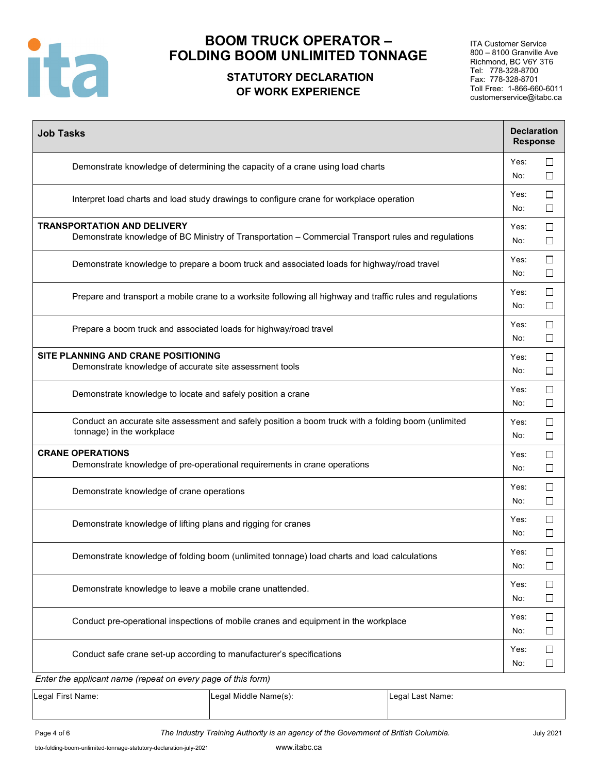

# **STATUTORY DECLARATION OF WORK EXPERIENCE**

ITA Customer Service 800 – 8100 Granville Ave Richmond, BC V6Y 3T6 Tel: 778-328-8700 Fax: 778-328-8701 Toll Free: 1-866-660-6011 customerservice@itabc.ca

| <b>Job Tasks</b>                                                                                                                          | <b>Declaration</b><br><b>Response</b> |                  |
|-------------------------------------------------------------------------------------------------------------------------------------------|---------------------------------------|------------------|
| Demonstrate knowledge of determining the capacity of a crane using load charts                                                            | Yes:<br>No:                           | $\Box$<br>$\Box$ |
| Interpret load charts and load study drawings to configure crane for workplace operation                                                  | Yes:<br>No:                           | $\Box$<br>$\Box$ |
| <b>TRANSPORTATION AND DELIVERY</b><br>Demonstrate knowledge of BC Ministry of Transportation - Commercial Transport rules and regulations | Yes:<br>No:                           | ப<br>$\Box$      |
| Demonstrate knowledge to prepare a boom truck and associated loads for highway/road travel                                                | Yes:<br>No:                           | □<br>$\Box$      |
| Prepare and transport a mobile crane to a worksite following all highway and traffic rules and regulations                                | Yes:<br>No:                           | $\Box$<br>ப      |
| Prepare a boom truck and associated loads for highway/road travel                                                                         | Yes:<br>No:                           | $\Box$<br>□      |
| SITE PLANNING AND CRANE POSITIONING<br>Demonstrate knowledge of accurate site assessment tools                                            | Yes:<br>No:                           | $\Box$<br>$\Box$ |
| Demonstrate knowledge to locate and safely position a crane                                                                               | Yes:<br>No:                           | □<br>$\Box$      |
| Conduct an accurate site assessment and safely position a boom truck with a folding boom (unlimited<br>tonnage) in the workplace          | Yes:<br>No:                           | $\Box$<br>$\Box$ |
| <b>CRANE OPERATIONS</b><br>Demonstrate knowledge of pre-operational requirements in crane operations                                      | Yes:<br>No:                           | $\Box$<br>$\Box$ |
| Demonstrate knowledge of crane operations                                                                                                 | Yes:<br>No:                           | $\Box$<br>$\Box$ |
| Demonstrate knowledge of lifting plans and rigging for cranes                                                                             | Yes:<br>No:                           | $\Box$<br>$\Box$ |
| Demonstrate knowledge of folding boom (unlimited tonnage) load charts and load calculations                                               | Yes:<br>No:                           | $\Box$<br>$\Box$ |
| Demonstrate knowledge to leave a mobile crane unattended.                                                                                 | Yes:<br>No:                           | $\Box$<br>⊔      |
| Conduct pre-operational inspections of mobile cranes and equipment in the workplace                                                       | Yes:<br>No:                           | $\Box$<br>$\Box$ |
| Conduct safe crane set-up according to manufacturer's specifications                                                                      | Yes:<br>No:                           | $\Box$<br>$\Box$ |
| Enter the applicant name (repeat on every page of this form)                                                                              |                                       |                  |

Legal First Name: Legal Middle Name(s): Legal Last Name:

Page 4 of 6 **The Industry Training Authority is an agency of the Government of British Columbia.** July 2021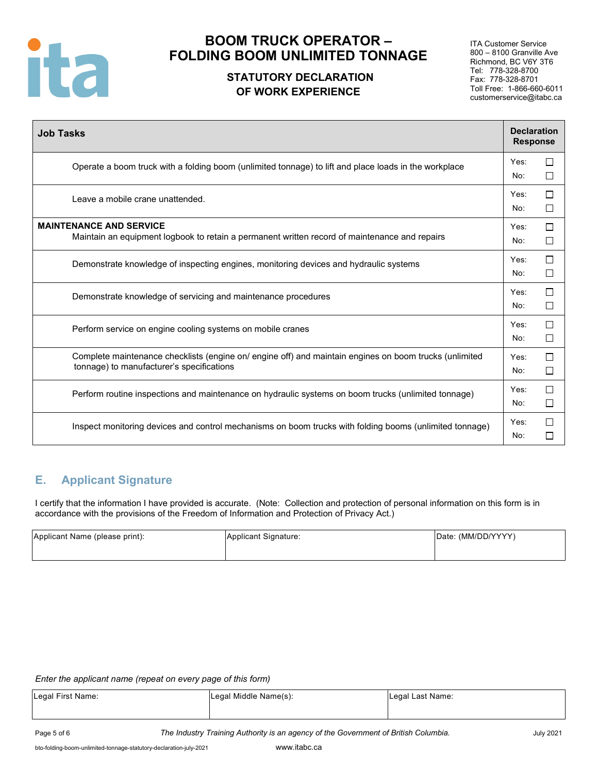

# **STATUTORY DECLARATION OF WORK EXPERIENCE**

ITA Customer Service 800 – 8100 Granville Ave Richmond, BC V6Y 3T6 Tel: 778-328-8700 Fax: 778-328-8701 Toll Free: 1-866-660-6011 customerservice@itabc.ca

| <b>Job Tasks</b>                                                                                                                                    | <b>Declaration</b><br><b>Response</b> |                               |
|-----------------------------------------------------------------------------------------------------------------------------------------------------|---------------------------------------|-------------------------------|
| Operate a boom truck with a folding boom (unlimited tonnage) to lift and place loads in the workplace                                               | Yes:<br>No:                           | $\Box$<br>□                   |
| Leave a mobile crane unattended.                                                                                                                    | Yes:<br>No:                           | П<br>$\Box$                   |
| <b>MAINTENANCE AND SERVICE</b><br>Maintain an equipment logbook to retain a permanent written record of maintenance and repairs                     | Yes:<br>No:                           | П<br>□                        |
| Demonstrate knowledge of inspecting engines, monitoring devices and hydraulic systems                                                               | Yes:<br>No:                           | $\Box$<br>□                   |
| Demonstrate knowledge of servicing and maintenance procedures                                                                                       | Yes:<br>No:                           | П<br>$\Box$                   |
| Perform service on engine cooling systems on mobile cranes                                                                                          | Yes:<br>No:                           | П<br>П                        |
| Complete maintenance checklists (engine on/ engine off) and maintain engines on boom trucks (unlimited<br>tonnage) to manufacturer's specifications | Yes:<br>No:                           | □<br>П                        |
| Perform routine inspections and maintenance on hydraulic systems on boom trucks (unlimited tonnage)                                                 | Yes:<br>No:                           | П<br>$\Box$                   |
| Inspect monitoring devices and control mechanisms on boom trucks with folding booms (unlimited tonnage)                                             | Yes:<br>No:                           | П<br>$\overline{\phantom{a}}$ |

# **E. Applicant Signature**

I certify that the information I have provided is accurate. (Note: Collection and protection of personal information on this form is in accordance with the provisions of the Freedom of Information and Protection of Privacy Act.)

| Applicant Name (please print): | Applicant Signature: | Date: (MM/DD/YYYY) |
|--------------------------------|----------------------|--------------------|
|                                |                      |                    |

#### *Enter the applicant name (repeat on every page of this form)*

| Legal First Name: | Legal Middle Name(s): | Legal Last Name: |
|-------------------|-----------------------|------------------|
|                   |                       |                  |
|                   |                       |                  |